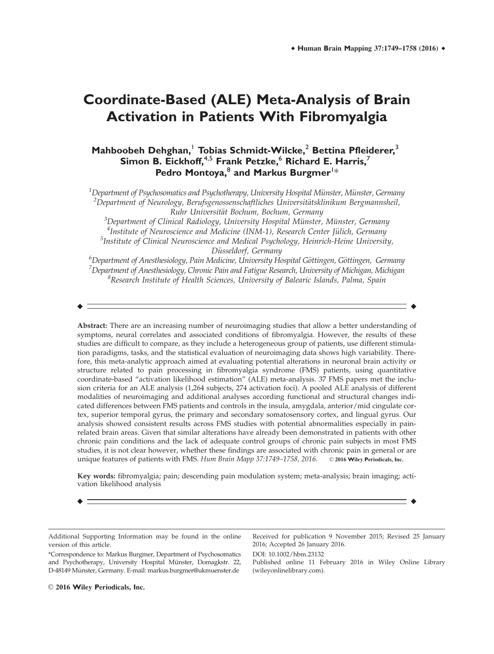# **Coordinate-Based (ALE) Meta-Analysis of Brain Activation in Patients With Fibromyalgia**

# **Mahboobeh Dehghan,**<sup>1</sup> **Tobias Schmidt-Wilcke,**<sup>2</sup> **Bettina Pfleiderer,**<sup>3</sup> **Simon B. Eickhoff,**4,5 **Frank Petzke,**<sup>6</sup> **Richard E. Harris,**<sup>7</sup> Pedro Montoya, <sup>8</sup> and Markus Burgmer<sup>!\*</sup>

 $\rm ^1$ Department of Psychosomatics and Psychotherapy, University Hospital Münster, Münster, Germany<br> $\rm ^2$ Department of Neurology, Berufsgenossenschaftliches Universitätsklinikum Beromannsheil  $\alpha^2$ Department of Neurology, Berufsgenossenschaftliches Universitätsklinikum Bergmannsheil, Ruhr Universität Bochum, Bochum, Germany

 $3$ Department of Clinical Radiology, University Hospital Münster, Münster, Germany<br> $4$ Institute of Neuroscience and Medicine (INM-1), Research Center Jülich, Germany <sup>4</sup>Institute of Neuroscience and Medicine (INM-1), Research Center Jülich, Germany  $<sup>5</sup>$ Institute of Clinical Neuroscience and Medical Psychology, Heinrich-Heine University,</sup>

Düsseldorf, Germany<br><sup>6</sup>Department of Anesthesiology, Pain Medicine, University Hospital Göttingen, Göttingen, Germany  $^7$ Department of Anesthesiology, Chronic Pain and Fatigue Research, University of Michigan, Michigan  ${}^8$ Research Institute of Health Sciences, University of Balearic Islands, Palma, Spain

r r

Abstract: There are an increasing number of neuroimaging studies that allow a better understanding of symptoms, neural correlates and associated conditions of fibromyalgia. However, the results of these studies are difficult to compare, as they include a heterogeneous group of patients, use different stimulation paradigms, tasks, and the statistical evaluation of neuroimaging data shows high variability. Therefore, this meta-analytic approach aimed at evaluating potential alterations in neuronal brain activity or structure related to pain processing in fibromyalgia syndrome (FMS) patients, using quantitative coordinate-based "activation likelihood estimation" (ALE) meta-analysis. 37 FMS papers met the inclusion criteria for an ALE analysis (1,264 subjects, 274 activation foci). A pooled ALE analysis of different modalities of neuroimaging and additional analyses according functional and structural changes indicated differences between FMS patients and controls in the insula, amygdala, anterior/mid cingulate cortex, superior temporal gyrus, the primary and secondary somatosensory cortex, and lingual gyrus. Our analysis showed consistent results across FMS studies with potential abnormalities especially in painrelated brain areas. Given that similar alterations have already been demonstrated in patients with other chronic pain conditions and the lack of adequate control groups of chronic pain subjects in most FMS studies, it is not clear however, whether these findings are associated with chronic pain in general or are unique features of patients with FMS. Hum Brain Mapp 37:1749-1758, 2016. © 2016 Wiley Periodicals, Inc.

Key words: fibromyalgia; pain; descending pain modulation system; meta-analysis; brain imaging; activation likelihood analysis

r r

Additional Supporting Information may be found in the online version of this article.

Received for publication 9 November 2015; Revised 25 January 2016; Accepted 26 January 2016.

DOI: 10.1002/hbm.23132

Published online 11 February 2016 in Wiley Online Library (wileyonlinelibrary.com).

 $\odot$  2016 Wiley Periodicals, Inc.

<sup>\*</sup>Correspondence to: Markus Burgmer, Department of Psychosomatics and Psychotherapy, University Hospital Münster, Domagkstr. 22, D-48149 Münster, Germany. E-mail: markus.burgmer@ukmuenster.de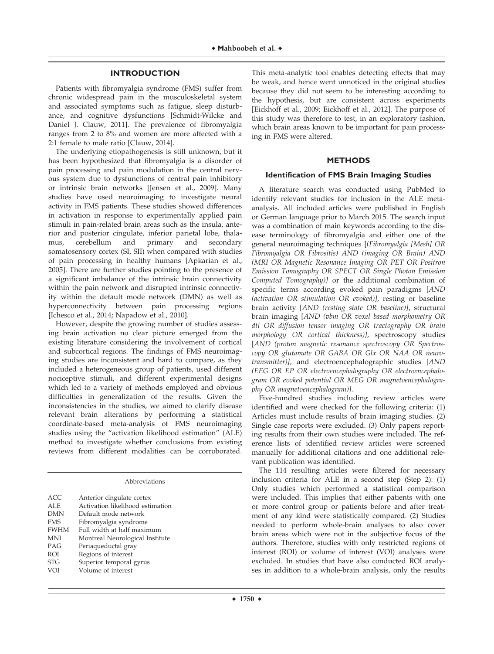#### **INTRODUCTION**

Patients with fibromyalgia syndrome (FMS) suffer from chronic widespread pain in the musculoskeletal system and associated symptoms such as fatigue, sleep disturbance, and cognitive dysfunctions [Schmidt-Wilcke and Daniel J. Clauw, 2011]. The prevalence of fibromyalgia ranges from 2 to 8% and women are more affected with a 2:1 female to male ratio [Clauw, 2014].

The underlying etiopathogenesis is still unknown, but it has been hypothesized that fibromyalgia is a disorder of pain processing and pain modulation in the central nervous system due to dysfunctions of central pain inhibitory or intrinsic brain networks [Jensen et al., 2009]. Many studies have used neuroimaging to investigate neural activity in FMS patients. These studies showed differences in activation in response to experimentally applied pain stimuli in pain-related brain areas such as the insula, anterior and posterior cingulate, inferior parietal lobe, thalamus, cerebellum and primary and secondary somatosensory cortex (SI, SII) when compared with studies of pain processing in healthy humans [Apkarian et al., 2005]. There are further studies pointing to the presence of a significant imbalance of the intrinsic brain connectivity within the pain network and disrupted intrinsic connectivity within the default mode network (DMN) as well as hyperconnectivity between pain processing regions [Ichesco et al., 2014; Napadow et al., 2010].

However, despite the growing number of studies assessing brain activation no clear picture emerged from the existing literature considering the involvement of cortical and subcortical regions. The findings of FMS neuroimaging studies are inconsistent and hard to compare, as they included a heterogeneous group of patients, used different nociceptive stimuli, and different experimental designs which led to a variety of methods employed and obvious difficulties in generalization of the results. Given the inconsistencies in the studies, we aimed to clarify disease relevant brain alterations by performing a statistical coordinate-based meta-analysis of FMS neuroimaging studies using the "activation likelihood estimation" (ALE) method to investigate whether conclusions from existing reviews from different modalities can be corroborated.

| <b>ACC</b>  | Anterior cingulate cortex        |
|-------------|----------------------------------|
| ALE         | Activation likelihood estimation |
| <b>DMN</b>  | Default mode network             |
| <b>FMS</b>  | Fibromyalgia syndrome            |
| <b>FWHM</b> | Full width at half maximum       |
| MNI         | Montreal Neurological Institute  |
| PAG         | Periaqueductal gray              |
| <b>ROI</b>  | Regions of interest              |
| <b>STG</b>  | Superior temporal gyrus          |
| VOI         | Volume of interest               |
|             |                                  |

This meta-analytic tool enables detecting effects that may be weak, and hence went unnoticed in the original studies because they did not seem to be interesting according to the hypothesis, but are consistent across experiments [Eickhoff et al., 2009; Eickhoff et al., 2012]. The purpose of this study was therefore to test, in an exploratory fashion, which brain areas known to be important for pain processing in FMS were altered.

#### **METHODS**

#### **Identification of FMS Brain Imaging Studies**

A literature search was conducted using PubMed to identify relevant studies for inclusion in the ALE metaanalysis. All included articles were published in English or German language prior to March 2015. The search input was a combination of main keywords according to the disease terminology of fibromyalgia and either one of the general neuroimaging techniques [(Fibromyalgia [Mesh] OR Fibromyalgia OR Fibrositis) AND (imaging OR Brain) AND (MRI OR Magnetic Resonance Imaging OR PET OR Positron Emission Tomography OR SPECT OR Single Photon Emission Computed Tomography)] or the additional combination of specific terms according evoked pain paradigms [AND (activation OR stimulation OR evoked)], resting or baseline brain activity [AND (resting state OR baseline)], structural brain imaging [AND (vbm OR voxel based morphometry OR dti OR diffusion tensor imaging OR tractography OR brain morphology OR cortical thickness)], spectroscopy studies [AND (proton magnetic resonance spectroscopy OR Spectroscopy OR glutamate OR GABA OR Glx OR NAA OR neurotransmitter)], and electroencephalographic studies [AND (EEG OR EP OR electroencephalography OR electroencephalogram OR evoked potential OR MEG OR magnetoencephalography OR magnetoencephalogram)].

Five-hundred studies including review articles were identified and were checked for the following criteria: (1) Articles must include results of brain imaging studies. (2) Single case reports were excluded. (3) Only papers reporting results from their own studies were included. The reference lists of identified review articles were screened manually for additional citations and one additional relevant publication was identified.

The 114 resulting articles were filtered for necessary inclusion criteria for ALE in a second step (Step 2): (1) Only studies which performed a statistical comparison were included. This implies that either patients with one or more control group or patients before and after treatment of any kind were statistically compared. (2) Studies needed to perform whole-brain analyses to also cover brain areas which were not in the subjective focus of the authors. Therefore, studies with only restricted regions of interest (ROI) or volume of interest (VOI) analyses were excluded. In studies that have also conducted ROI analyses in addition to a whole-brain analysis, only the results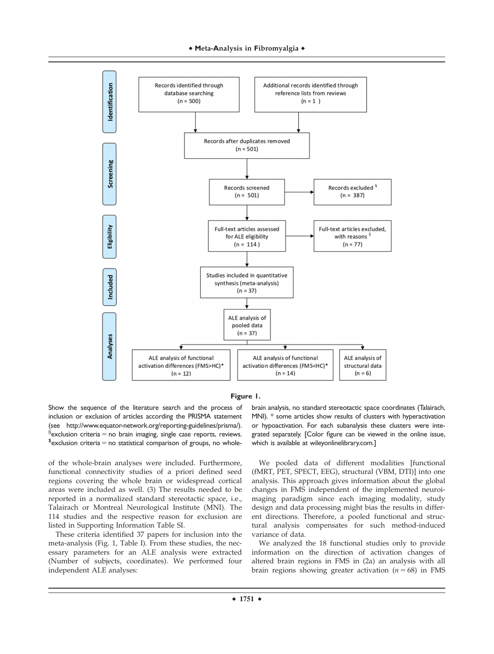



Show the sequence of the literature search and the process of inclusion or exclusion of articles according the PRISMA statement (see [http://www.equator-network.org/reporting-guidelines/prisma/](http://www.equator-network.org/reporting-guidelines/prisma)).  ${}^{\S}$ exclusion criteria = no brain imaging, single case reports, reviews.  $s$  exclusion criteria = no statistical comparison of groups, no whole-

of the whole-brain analyses were included. Furthermore, functional connectivity studies of a priori defined seed regions covering the whole brain or widespread cortical areas were included as well. (3) The results needed to be reported in a normalized standard stereotactic space, i.e., Talairach or Montreal Neurological Institute (MNI). The 114 studies and the respective reason for exclusion are listed in Supporting Information Table SI.

These criteria identified 37 papers for inclusion into the meta-analysis (Fig. 1, Table I). From these studies, the necessary parameters for an ALE analysis were extracted (Number of subjects, coordinates). We performed four independent ALE analyses:

brain analysis, no standard stereotactic space coordinates (Talairach, MNI). \* some articles show results of clusters with hyperactivation or hypoactivation. For each subanalysis these clusters were integrated separately. [Color figure can be viewed in the online issue, which is available at [wileyonlinelibrary.com.](http://wileyonlinelibrary.com)]

We pooled data of different modalities [functional (fMRT, PET, SPECT, EEG), structural (VBM, DTI)] into one analysis. This approach gives information about the global changes in FMS independent of the implemented neuroimaging paradigm since each imaging modality, study design and data processing might bias the results in different directions. Therefore, a pooled functional and structural analysis compensates for such method-induced variance of data.

We analyzed the 18 functional studies only to provide information on the direction of activation changes of altered brain regions in FMS in (2a) an analysis with all brain regions showing greater activation ( $n = 68$ ) in FMS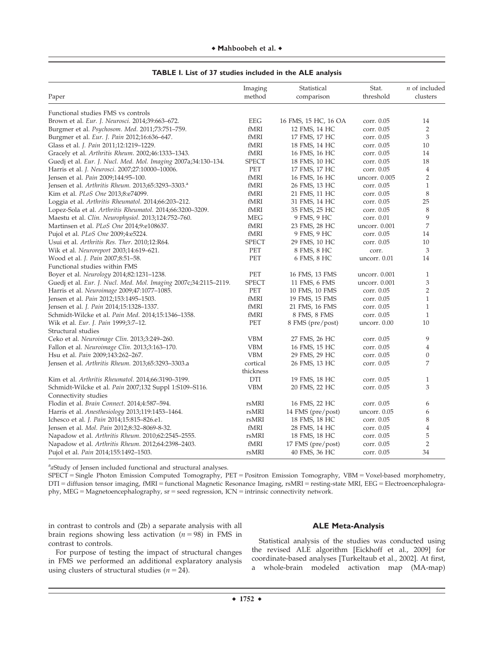|  |  | $\blacklozenge$ Mahboobeh et al. $\blacklozenge$ |  |  |
|--|--|--------------------------------------------------|--|--|
|--|--|--------------------------------------------------|--|--|

| Paper                                                            | Imaging<br>method     | Statistical<br>comparison | Stat.<br>threshold | $n$ of included<br>clusters |
|------------------------------------------------------------------|-----------------------|---------------------------|--------------------|-----------------------------|
| Functional studies FMS vs controls                               |                       |                           |                    |                             |
| Brown et al. Eur. J. Neurosci. 2014;39:663–672.                  | <b>EEG</b>            | 16 FMS, 15 HC, 16 OA      | corr. 0.05         | 14                          |
| Burgmer et al. Psychosom. Med. 2011;73:751-759.                  | fMRI                  | 12 FMS, 14 HC             | corr. 0.05         | $\overline{2}$              |
| Burgmer et al. Eur. J. Pain 2012;16:636–647.                     | fMRI                  | 17 FMS, 17 HC             | corr. 0.05         | 3                           |
| Glass et al. J. Pain 2011;12:1219-1229.                          | fMRI                  | 18 FMS, 14 HC             | corr. 0.05         | 10                          |
| Gracely et al. Arthritis Rheum. 2002;46:1333-1343.               | fMRI                  | 16 FMS, 16 HC             | corr. 0.05         | 14                          |
| Guedj et al. Eur. J. Nucl. Med. Mol. Imaging 2007a;34:130-134.   | <b>SPECT</b>          | 18 FMS, 10 HC             | corr. 0.05         | 18                          |
| Harris et al. J. Neurosci. 2007;27:10000-10006.                  | PET                   | 17 FMS, 17 HC             | corr. 0.05         | $\overline{4}$              |
| Jensen et al. <i>Pain</i> 2009;144:95-100.                       | fMRI                  | 16 FMS, 16 HC             | uncorr. 0.005      | $\overline{2}$              |
| Jensen et al. Arthritis Rheum. 2013;65:3293-3303. <sup>a</sup>   | fMRI                  | 26 FMS, 13 HC             | corr. 0.05         | $\mathbf{1}$                |
| Kim et al. <i>PLoS One</i> 2013;8:e74099.                        | fMRI                  | 21 FMS, 11 HC             | corr. 0.05         | 8                           |
| Loggia et al. Arthritis Rheumatol. 2014;66:203-212.              | fMRI                  | 31 FMS, 14 HC             | corr. 0.05         | 25                          |
| Lopez-Sola et al. Arthritis Rheumatol. 2014;66:3200-3209.        | fMRI                  | 35 FMS, 25 HC             | corr. 0.05         | 8                           |
| Maestu et al. Clin. Neurophysiol. 2013;124:752–760.              | MEG                   | 9 FMS, 9 HC               | corr. 0.01         | 9                           |
| Martinsen et al. PLoS One 2014;9:e108637.                        | fMRI                  | 23 FMS, 28 HC             | uncorr. 0.001      | 7                           |
| Pujol et al. <i>PLoS One</i> 2009;4:e5224.                       | $\operatorname{fMRI}$ | 9 FMS, 9 HC               | corr. 0.05         | 14                          |
| Usui et al. Arthritis Res. Ther. 2010;12:R64.                    | <b>SPECT</b>          | 29 FMS, 10 HC             | corr. 0.05         | 10                          |
| Wik et al. Neuroreport 2003;14:619–621.                          | PET                   | 8 FMS, 8 HC               | corr.              | 3                           |
| Wood et al. <i>J. Pain</i> 2007;8:51–58.                         | PET                   | 6 FMS, 8 HC               | uncorr. 0.01       | 14                          |
| Functional studies within FMS                                    |                       |                           |                    |                             |
| Boyer et al. Neurology 2014;82:1231-1238.                        | PET                   | 16 FMS, 13 FMS            | uncorr. 0.001      | $\mathbf{1}$                |
| Guedj et al. Eur. J. Nucl. Med. Mol. Imaging 2007c;34:2115-2119. | <b>SPECT</b>          | 11 FMS, 6 FMS             | uncorr. 0.001      | 3                           |
| Harris et al. Neuroimage 2009;47:1077-1085.                      | PET                   | 10 FMS, 10 FMS            | corr. 0.05         | $\overline{2}$              |
| Jensen et al. Pain 2012;153:1495-1503.                           | fMRI                  | 19 FMS, 15 FMS            | corr. 0.05         | $\mathbf{1}$                |
| Jensen et al. <i>J. Pain</i> 2014;15:1328-1337.                  | fMRI                  | 21 FMS, 16 FMS            | corr. 0.05         | $\mathbf{1}$                |
| Schmidt-Wilcke et al. Pain Med. 2014;15:1346-1358.               | fMRI                  | 8 FMS, 8 FMS              | corr. 0.05         | $\mathbf{1}$                |
| Wik et al. Eur. J. Pain 1999;3:7-12.                             | PET                   | 8 FMS (pre/post)          | uncorr. 0.00       | 10                          |
| Structural studies                                               |                       |                           |                    |                             |
| Ceko et al. Neuroimage Clin. 2013;3:249-260.                     | <b>VBM</b>            | 27 FMS, 26 HC             | corr. 0.05         | 9                           |
| Fallon et al. Neuroimage Clin. 2013;3:163-170.                   | <b>VBM</b>            | 16 FMS, 15 HC             | corr. 0.05         | $\overline{4}$              |
| Hsu et al. <i>Pain</i> 2009;143:262-267.                         | <b>VBM</b>            | 29 FMS, 29 HC             | corr. 0.05         | $\overline{0}$              |
| Jensen et al. Arthritis Rheum. 2013;65:3293-3303.a               | cortical              | 26 FMS, 13 HC             | corr. 0.05         | 7                           |
|                                                                  | thickness             |                           |                    |                             |
| Kim et al. Arthritis Rheumatol. 2014;66:3190-3199.               | DTI                   | 19 FMS, 18 HC             | corr. 0.05         | $\mathbf{1}$                |
| Schmidt-Wilcke et al. Pain 2007;132 Suppl 1:S109-S116.           | <b>VBM</b>            | 20 FMS, 22 HC             | corr. 0.05         | 3                           |
| Connectivity studies                                             |                       |                           |                    |                             |
| Flodin et al. Brain Connect. 2014;4:587-594.                     | rsMRI                 | 16 FMS, 22 HC             | corr. 0.05         | 6                           |
| Harris et al. Anesthesiology 2013;119:1453-1464.                 | rsMRI                 | 14 FMS (pre/post)         | uncorr. 0.05       | 6                           |
| Ichesco et al. <i>J. Pain</i> 2014;15:815–826.e1.                | rsMRI                 | 18 FMS, 18 HC             | corr. 0.05         | 8                           |
| Jensen et al. <i>Mol. Pain</i> 2012;8:32–8069-8-32.              | fMRI                  | 28 FMS, 14 HC             | corr. 0.05         | $\,4\,$                     |
| Napadow et al. Arthritis Rheum. 2010;62:2545–2555.               | rsMRI                 | 18 FMS, 18 HC             | corr. 0.05         | 5                           |
| Napadow et al. Arthritis Rheum. 2012;64:2398-2403.               | fMRI                  | 17 FMS (pre/post)         | corr. 0.05         | $\overline{2}$              |
| Pujol et al. <i>Pain</i> 2014;155:1492–1503.                     | rsMRI                 | 40 FMS, 36 HC             | corr. 0.05         | 34                          |

|  |  | TABLE I. List of 37 studies included in the ALE analysis |
|--|--|----------------------------------------------------------|
|--|--|----------------------------------------------------------|

astudy of Jensen included functional and structural analyses.

SPECT = Single Photon Emission Computed Tomography, PET = Positron Emission Tomography, VBM = Voxel-based morphometry, DTI = diffusion tensor imaging, fMRI = functional Magnetic Resonance Imaging, rsMRI = resting-state MRI, EEG = Electroencephalography, MEG = Magnetoencephalography, sr = seed regression, ICN = intrinsic connectivity network.

in contrast to controls and (2b) a separate analysis with all brain regions showing less activation ( $n = 98$ ) in FMS in contrast to controls.

## **ALE Meta-Analysis**

For purpose of testing the impact of structural changes in FMS we performed an additional explaratory analysis using clusters of structural studies ( $n = 24$ ).

Statistical analysis of the studies was conducted using the revised ALE algorithm [Eickhoff et al., 2009] for coordinate-based analyses [Turkeltaub et al., 2002]. At first, a whole-brain modeled activation map (MA-map)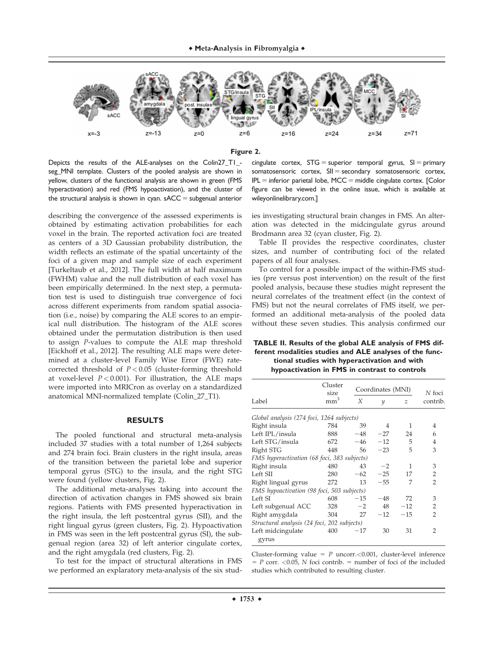



Depicts the results of the ALE-analyses on the Colin27\_T1\_ seg\_MNI template. Clusters of the pooled analysis are shown in yellow, clusters of the functional analysis are shown in green (FMS hyperactivation) and red (FMS hypoactivation), and the cluster of the structural analysis is shown in cyan.  $sACC = subgenual anterior$ 

describing the convergence of the assessed experiments is obtained by estimating activation probabilities for each voxel in the brain. The reported activation foci are treated as centers of a 3D Gaussian probability distribution, the width reflects an estimate of the spatial uncertainty of the foci of a given map and sample size of each experiment [Turkeltaub et al., 2012]. The full width at half maximum (FWHM) value and the null distribution of each voxel has been empirically determined. In the next step, a permutation test is used to distinguish true convergence of foci across different experiments from random spatial association (i.e., noise) by comparing the ALE scores to an empirical null distribution. The histogram of the ALE scores obtained under the permutation distribution is then used to assign P-values to compute the ALE map threshold [Eickhoff et al., 2012]. The resulting ALE maps were determined at a cluster-level Family Wise Error (FWE) ratecorrected threshold of  $P < 0.05$  (cluster-forming threshold at voxel-level  $P < 0.001$ ). For illustration, the ALE maps were imported into MRICron as overlay on a standardized anatomical MNI-normalized template (Colin\_27\_T1).

#### **RESULTS**

The pooled functional and structural meta-analysis included 37 studies with a total number of 1,264 subjects and 274 brain foci. Brain clusters in the right insula, areas of the transition between the parietal lobe and superior temporal gyrus (STG) to the insula, and the right STG were found (yellow clusters, Fig. 2).

The additional meta-analyses taking into account the direction of activation changes in FMS showed six brain regions. Patients with FMS presented hyperactivation in the right insula, the left postcentral gyrus (SII), and the right lingual gyrus (green clusters, Fig. 2). Hypoactivation in FMS was seen in the left postcentral gyrus (SI), the subgenual region (area 32) of left anterior cingulate cortex, and the right amygdala (red clusters, Fig. 2).

To test for the impact of structural alterations in FMS we performed an explaratory meta-analysis of the six stud-

cingulate cortex,  $STG =$  superior temporal gyrus,  $SI =$  primary somatosensoric cortex,  $SII =$  secondary somatosensoric cortex,  $IPL$  = inferior parietal lobe, MCC = middle cingulate cortex. [Color figure can be viewed in the online issue, which is available at [wileyonlinelibrary.com](http://wileyonlinelibrary.com).]

ies investigating structural brain changes in FMS. An alteration was detected in the midcingulate gyrus around Brodmann area 32 (cyan cluster, Fig. 2).

Table II provides the respective coordinates, cluster sizes, and number of contributing foci of the related papers of all four analyses.

To control for a possible impact of the within-FMS studies (pre versus post intervention) on the result of the first pooled analysis, because these studies might represent the neural correlates of the treatment effect (in the context of FMS) but not the neural correlates of FMS itself, we performed an additional meta-analysis of the pooled data without these seven studies. This analysis confirmed our

#### **TABLE II. Results of the global ALE analysis of FMS different modalities studies and ALE analyses of the functional studies with hyperactivation and with hypoactivation in FMS in contrast to controls**

|                                             | Cluster<br>size<br>mm <sup>3</sup> |       | Coordinates (MNI) |               |                    |
|---------------------------------------------|------------------------------------|-------|-------------------|---------------|--------------------|
| Label                                       |                                    | X     | Y                 | $\mathcal{Z}$ | N foci<br>contrib. |
| Global analysis (274 foci, 1264 subjects)   |                                    |       |                   |               |                    |
| Right insula                                | 784                                | 39    | 4                 | 1             | 4                  |
| Left IPL/insula                             | 888                                | $-48$ | $-27$             | 24            | 6                  |
| Left STG/insula                             | 672                                | $-46$ | $-12$             | 5             | 4                  |
| Right STG                                   | 448                                | 56    | $-23$             | 5             | 3                  |
| FMS hyperactivation (68 foci, 383 subjects) |                                    |       |                   |               |                    |
| Right insula                                | 480                                | 43    | $-2$              | 1             | 3                  |
| Left SII                                    | 280                                | $-62$ | $-25$             | 17            | 2                  |
| Right lingual gyrus                         | 272                                | 13    | $-55$             | 7             | $\mathcal{P}$      |
| FMS hypoactivation (98 foci, 503 subjects)  |                                    |       |                   |               |                    |
| Left SI                                     | 608                                | $-15$ | $-48$             | 72            | 3                  |
| Left subgenual ACC                          | 328                                | $-2$  | 48                | $-12$         | 2                  |
| Right amygdala                              | 304                                | 27    | $-12$             | $-15$         | $\mathcal{P}$      |
| Structural analysis (24 foci, 202 subjects) |                                    |       |                   |               |                    |
| Left midcingulate<br>gyrus                  | 400                                | $-17$ | 30                | 31            | $\overline{2}$     |

Cluster-forming value =  $P$  uncorr. <0.001, cluster-level inference  $= P$  corr. <0.05, N foci contrib.  $=$  number of foci of the included studies which contributed to resulting cluster.

 $\div$  1753  $\div$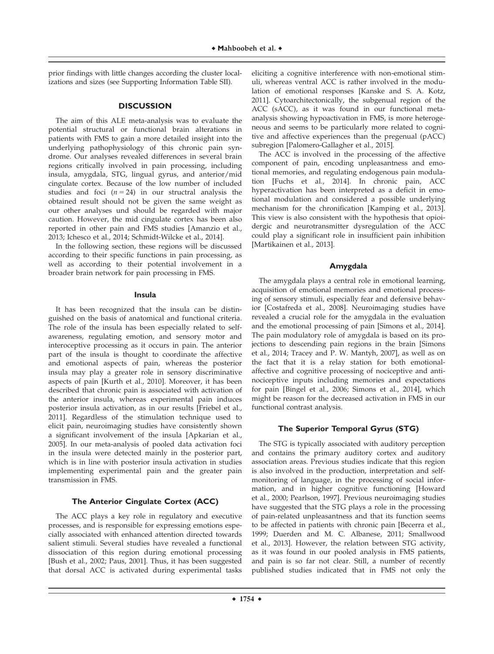prior findings with little changes according the cluster localizations and sizes (see Supporting Information Table SII).

#### **DISCUSSION**

The aim of this ALE meta-analysis was to evaluate the potential structural or functional brain alterations in patients with FMS to gain a more detailed insight into the underlying pathophysiology of this chronic pain syndrome. Our analyses revealed differences in several brain regions critically involved in pain processing, including insula, amygdala, STG, lingual gyrus, and anterior/mid cingulate cortex. Because of the low number of included studies and foci  $(n = 24)$  in our structral analysis the obtained result should not be given the same weight as our other analyses und should be regarded with major caution. However, the mid cingulate cortex has been also reported in other pain and FMS studies [Amanzio et al., 2013; Ichesco et al., 2014; Schmidt-Wilcke et al., 2014].

In the following section, these regions will be discussed according to their specific functions in pain processing, as well as according to their potential involvement in a broader brain network for pain processing in FMS.

#### **Insula**

It has been recognized that the insula can be distinguished on the basis of anatomical and functional criteria. The role of the insula has been especially related to selfawareness, regulating emotion, and sensory motor and interoceptive processing as it occurs in pain. The anterior part of the insula is thought to coordinate the affective and emotional aspects of pain, whereas the posterior insula may play a greater role in sensory discriminative aspects of pain [Kurth et al., 2010]. Moreover, it has been described that chronic pain is associated with activation of the anterior insula, whereas experimental pain induces posterior insula activation, as in our results [Friebel et al., 2011]. Regardless of the stimulation technique used to elicit pain, neuroimaging studies have consistently shown a significant involvement of the insula [Apkarian et al., 2005]. In our meta-analysis of pooled data activation foci in the insula were detected mainly in the posterior part, which is in line with posterior insula activation in studies implementing experimental pain and the greater pain transmission in FMS.

#### **The Anterior Cingulate Cortex (ACC)**

The ACC plays a key role in regulatory and executive processes, and is responsible for expressing emotions especially associated with enhanced attention directed towards salient stimuli. Several studies have revealed a functional dissociation of this region during emotional processing [Bush et al., 2002; Paus, 2001]. Thus, it has been suggested that dorsal ACC is activated during experimental tasks

eliciting a cognitive interference with non-emotional stimuli, whereas ventral ACC is rather involved in the modulation of emotional responses [Kanske and S. A. Kotz, 2011]. Cytoarchitectonically, the subgenual region of the ACC (sACC), as it was found in our functional metaanalysis showing hypoactivation in FMS, is more heterogeneous and seems to be particularly more related to cognitive and affective experiences than the pregenual (pACC) subregion [Palomero-Gallagher et al., 2015].

The ACC is involved in the processing of the affective component of pain, encoding unpleasantness and emotional memories, and regulating endogenous pain modulation [Fuchs et al., 2014]. In chronic pain, ACC hyperactivation has been interpreted as a deficit in emotional modulation and considered a possible underlying mechanism for the chronification [Kamping et al., 2013]. This view is also consistent with the hypothesis that opioidergic and neurotransmitter dysregulation of the ACC could play a significant role in insufficient pain inhibition [Martikainen et al., 2013].

#### **Amygdala**

The amygdala plays a central role in emotional learning, acquisition of emotional memories and emotional processing of sensory stimuli, especially fear and defensive behavior [Costafreda et al., 2008]. Neuroimaging studies have revealed a crucial role for the amygdala in the evaluation and the emotional processing of pain [Simons et al., 2014]. The pain modulatory role of amygdala is based on its projections to descending pain regions in the brain [Simons et al., 2014; Tracey and P. W. Mantyh, 2007], as well as on the fact that it is a relay station for both emotionalaffective and cognitive processing of nociceptive and antinociceptive inputs including memories and expectations for pain [Bingel et al., 2006; Simons et al., 2014], which might be reason for the decreased activation in FMS in our functional contrast analysis.

#### **The Superior Temporal Gyrus (STG)**

The STG is typically associated with auditory perception and contains the primary auditory cortex and auditory association areas. Previous studies indicate that this region is also involved in the production, interpretation and selfmonitoring of language, in the processing of social information, and in higher cognitive functioning [Howard et al., 2000; Pearlson, 1997]. Previous neuroimaging studies have suggested that the STG plays a role in the processing of pain-related unpleasantness and that its function seems to be affected in patients with chronic pain [Becerra et al., 1999; Duerden and M. C. Albanese, 2011; Smallwood et al., 2013]. However, the relation between STG activity, as it was found in our pooled analysis in FMS patients, and pain is so far not clear. Still, a number of recently published studies indicated that in FMS not only the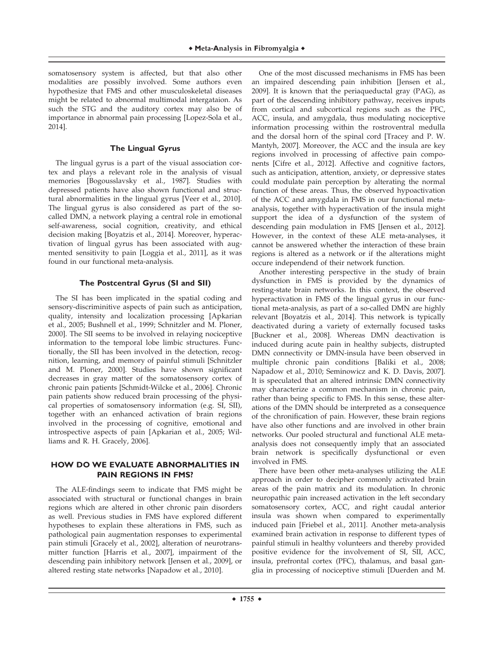somatosensory system is affected, but that also other modalities are possibly involved. Some authors even hypothesize that FMS and other musculoskeletal diseases might be related to abnormal multimodal intergataion. As such the STG and the auditory cortex may also be of importance in abnormal pain processing [Lopez-Sola et al., 2014].

# **The Lingual Gyrus**

The lingual gyrus is a part of the visual association cortex and plays a relevant role in the analysis of visual memories [Bogousslavsky et al., 1987]. Studies with depressed patients have also shown functional and structural abnormalities in the lingual gyrus [Veer et al., 2010]. The lingual gyrus is also considered as part of the socalled DMN, a network playing a central role in emotional self-awareness, social cognition, creativity, and ethical decision making [Boyatzis et al., 2014]. Moreover, hyperactivation of lingual gyrus has been associated with augmented sensitivity to pain [Loggia et al., 2011], as it was found in our functional meta-analysis.

# **The Postcentral Gyrus (SI and SII)**

The SI has been implicated in the spatial coding and sensory-discriminitive aspects of pain such as anticipation, quality, intensity and localization processing [Apkarian et al., 2005; Bushnell et al., 1999; Schnitzler and M. Ploner, 2000]. The SII seems to be involved in relaying nociceptive information to the temporal lobe limbic structures. Functionally, the SII has been involved in the detection, recognition, learning, and memory of painful stimuli [Schnitzler and M. Ploner, 2000]. Studies have shown significant decreases in gray matter of the somatosensory cortex of chronic pain patients [Schmidt-Wilcke et al., 2006]. Chronic pain patients show reduced brain processing of the physical properties of somatosensory information (e.g. SI, SII), together with an enhanced activation of brain regions involved in the processing of cognitive, emotional and introspective aspects of pain [Apkarian et al., 2005; Williams and R. H. Gracely, 2006].

# **HOW DO WE EVALUATE ABNORMALITIES IN PAIN REGIONS IN FMS?**

The ALE-findings seem to indicate that FMS might be associated with structural or functional changes in brain regions which are altered in other chronic pain disorders as well. Previous studies in FMS have explored different hypotheses to explain these alterations in FMS, such as pathological pain augmentation responses to experimental pain stimuli [Gracely et al., 2002], alteration of neurotransmitter function [Harris et al., 2007], impairment of the descending pain inhibitory network [Jensen et al., 2009], or altered resting state networks [Napadow et al., 2010].

One of the most discussed mechanisms in FMS has been an impaired descending pain inhibition [Jensen et al., 2009]. It is known that the periaqueductal gray (PAG), as part of the descending inhibitory pathway, receives inputs from cortical and subcortical regions such as the PFC, ACC, insula, and amygdala, thus modulating nociceptive information processing within the rostroventral medulla and the dorsal horn of the spinal cord [Tracey and P. W. Mantyh, 2007]. Moreover, the ACC and the insula are key regions involved in processing of affective pain components [Cifre et al., 2012]. Affective and cognitive factors, such as anticipation, attention, anxiety, or depressive states could modulate pain perception by alterating the normal function of these areas. Thus, the observed hypoactivation of the ACC and amygdala in FMS in our functional metaanalysis, together with hyperactivation of the insula might support the idea of a dysfunction of the system of descending pain modulation in FMS [Jensen et al., 2012]. However, in the context of these ALE meta-analyses, it cannot be answered whether the interaction of these brain regions is altered as a network or if the alterations might occure independend of their network function.

Another interesting perspective in the study of brain dysfunction in FMS is provided by the dynamics of resting-state brain networks. In this context, the observed hyperactivation in FMS of the lingual gyrus in our functional meta-analysis, as part of a so-called DMN are highly relevant [Boyatzis et al., 2014]. This network is typically deactivated during a variety of externally focused tasks [Buckner et al., 2008]. Whereas DMN deactivation is induced during acute pain in healthy subjects, distrupted DMN connectivity or DMN-insula have been observed in multiple chronic pain conditions [Baliki et al., 2008; Napadow et al., 2010; Seminowicz and K. D. Davis, 2007]. It is speculated that an altered intrinsic DMN connectivity may characterize a common mechanism in chronic pain, rather than being specific to FMS. In this sense, these alterations of the DMN should be interpreted as a consequence of the chronification of pain. However, these brain regions have also other functions and are involved in other brain networks. Our pooled structural and functional ALE metaanalysis does not consequently imply that an associated brain network is specifically dysfunctional or even involved in FMS.

There have been other meta-analyses utilizing the ALE approach in order to decipher commonly activated brain areas of the pain matrix and its modulation. In chronic neuropathic pain increased activation in the left secondary somatosensory cortex, ACC, and right caudal anterior insula was shown when compared to experimentally induced pain [Friebel et al., 2011]. Another meta-analysis examined brain activation in response to different types of painful stimuli in healthy volunteers and thereby provided positive evidence for the involvement of SI, SII, ACC, insula, prefrontal cortex (PFC), thalamus, and basal ganglia in processing of nociceptive stimuli [Duerden and M.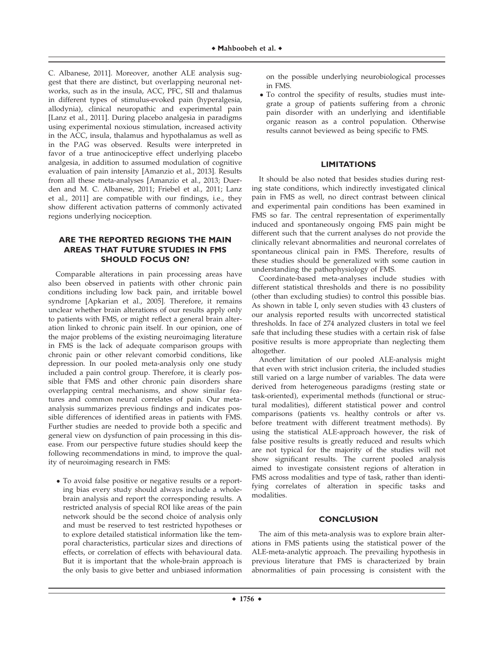C. Albanese, 2011]. Moreover, another ALE analysis suggest that there are distinct, but overlapping neuronal networks, such as in the insula, ACC, PFC, SII and thalamus in different types of stimulus-evoked pain (hyperalgesia, allodynia), clinical neuropathic and experimental pain [Lanz et al., 2011]. During placebo analgesia in paradigms using experimental noxious stimulation, increased activity in the ACC, insula, thalamus and hypothalamus as well as in the PAG was observed. Results were interpreted in favor of a true antinociceptive effect underlying placebo analgesia, in addition to assumed modulation of cognitive evaluation of pain intensity [Amanzio et al., 2013]. Results from all these meta-analyses [Amanzio et al., 2013; Duerden and M. C. Albanese, 2011; Friebel et al., 2011; Lanz et al., 2011] are compatible with our findings, i.e., they show different activation patterns of commonly activated regions underlying nociception.

## **ARE THE REPORTED REGIONS THE MAIN AREAS THAT FUTURE STUDIES IN FMS SHOULD FOCUS ON?**

Comparable alterations in pain processing areas have also been observed in patients with other chronic pain conditions including low back pain, and irritable bowel syndrome [Apkarian et al., 2005]. Therefore, it remains unclear whether brain alterations of our results apply only to patients with FMS, or might reflect a general brain alteration linked to chronic pain itself. In our opinion, one of the major problems of the existing neuroimaging literature in FMS is the lack of adequate comparison groups with chronic pain or other relevant comorbid conditions, like depression. In our pooled meta-analysis only one study included a pain control group. Therefore, it is clearly possible that FMS and other chronic pain disorders share overlapping central mechanisms, and show similar features and common neural correlates of pain. Our metaanalysis summarizes previous findings and indicates possible differences of identified areas in patients with FMS. Further studies are needed to provide both a specific and general view on dysfunction of pain processing in this disease. From our perspective future studies should keep the following recommendations in mind, to improve the quality of neuroimaging research in FMS:

- To avoid false positive or negative results or a reporting bias every study should always include a wholebrain analysis and report the corresponding results. A restricted analysis of special ROI like areas of the pain network should be the second choice of analysis only and must be reserved to test restricted hypotheses or to explore detailed statistical information like the temporal characteristics, particular sizes and directions of effects, or correlation of effects with behavioural data. But it is important that the whole-brain approach is the only basis to give better and unbiased information

on the possible underlying neurobiological processes in FMS.

- To control the specifity of results, studies must integrate a group of patients suffering from a chronic pain disorder with an underlying and identifiable organic reason as a control population. Otherwise results cannot beviewed as being specific to FMS.

# **LIMITATIONS**

It should be also noted that besides studies during resting state conditions, which indirectly investigated clinical pain in FMS as well, no direct contrast between clinical and experimental pain conditions has been examined in FMS so far. The central representation of experimentally induced and spontaneously ongoing FMS pain might be different such that the current analyses do not provide the clinically relevant abnormalities and neuronal correlates of spontaneous clinical pain in FMS. Therefore, results of these studies should be generalized with some caution in understanding the pathophysiology of FMS.

Coordinate-based meta-analyses include studies with different statistical thresholds and there is no possibility (other than excluding studies) to control this possible bias. As shown in table I, only seven studies with 43 clusters of our analysis reported results with uncorrected statistical thresholds. In face of 274 analyzed clusters in total we feel safe that including these studies with a certain risk of false positive results is more appropriate than neglecting them altogether.

Another limitation of our pooled ALE-analysis might that even with strict inclusion criteria, the included studies still varied on a large number of variables. The data were derived from heterogeneous paradigms (resting state or task-oriented), experimental methods (functional or structural modalities), different statistical power and control comparisons (patients vs. healthy controls or after vs. before treatment with different treatment methods). By using the statistical ALE-approach however, the risk of false positive results is greatly reduced and results which are not typical for the majority of the studies will not show significant results. The current pooled analysis aimed to investigate consistent regions of alteration in FMS across modalities and type of task, rather than identifying correlates of alteration in specific tasks and modalities.

#### **CONCLUSION**

The aim of this meta-analysis was to explore brain alterations in FMS patients using the statistical power of the ALE-meta-analytic approach. The prevailing hypothesis in previous literature that FMS is characterized by brain abnormalities of pain processing is consistent with the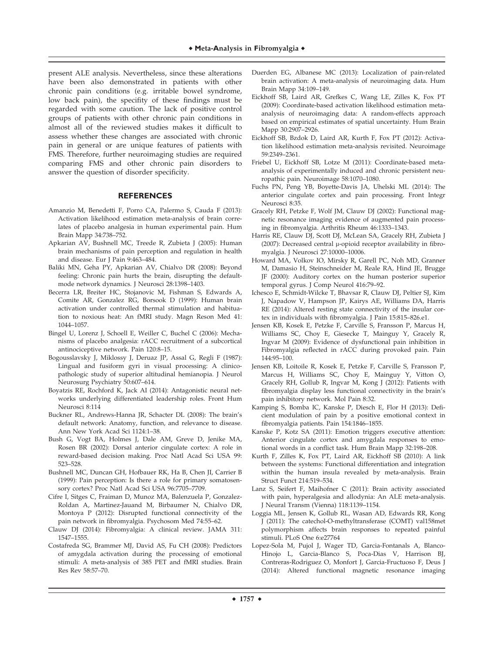present ALE analysis. Nevertheless, since these alterations have been also demonstrated in patients with other chronic pain conditions (e.g. irritable bowel syndrome, low back pain), the specifity of these findings must be regarded with some caution. The lack of positive control groups of patients with other chronic pain conditions in almost all of the reviewed studies makes it difficult to assess whether these changes are associated with chronic pain in general or are unique features of patients with FMS. Therefore, further neuroimaging studies are required comparing FMS and other chronic pain disorders to answer the question of disorder specificity.

#### **REFERENCES**

- Amanzio M, Benedetti F, Porro CA, Palermo S, Cauda F (2013): Activation likelihood estimation meta-analysis of brain correlates of placebo analgesia in human experimental pain. Hum Brain Mapp 34:738–752.
- Apkarian AV, Bushnell MC, Treede R, Zubieta J (2005): Human brain mechanisms of pain perception and regulation in health and disease. Eur J Pain 9:463–484.
- Baliki MN, Geha PY, Apkarian AV, Chialvo DR (2008): Beyond feeling: Chronic pain hurts the brain, disrupting the defaultmode network dynamics. J Neurosci 28:1398–1403.
- Becerra LR, Breiter HC, Stojanovic M, Fishman S, Edwards A, Comite AR, Gonzalez RG, Borsook D (1999): Human brain activation under controlled thermal stimulation and habituation to noxious heat: An fMRI study. Magn Reson Med 41: 1044–1057.
- Bingel U, Lorenz J, Schoell E, Weiller C, Buchel C (2006): Mechanisms of placebo analgesia: rACC recruitment of a subcortical antinociceptive network. Pain 120:8–15.
- Bogousslavsky J, Miklossy J, Deruaz JP, Assal G, Regli F (1987): Lingual and fusiform gyri in visual processing: A clinicopathologic study of superior altitudinal hemianopia. J Neurol Neurosurg Psychiatry 50:607–614.
- Boyatzis RE, Rochford K, Jack AI (2014): Antagonistic neural networks underlying differentiated leadership roles. Front Hum Neurosci 8:114
- Buckner RL, Andrews-Hanna JR, Schacter DL (2008): The brain's default network: Anatomy, function, and relevance to disease. Ann New York Acad Sci 1124:1–38.
- Bush G, Vogt BA, Holmes J, Dale AM, Greve D, Jenike MA, Rosen BR (2002): Dorsal anterior cingulate cortex: A role in reward-based decision making. Proc Natl Acad Sci USA 99: 523–528.
- Bushnell MC, Duncan GH, Hofbauer RK, Ha B, Chen JI, Carrier B (1999): Pain perception: Is there a role for primary somatosensory cortex? Proc Natl Acad Sci USA 96:7705–7709.
- Cifre I, Sitges C, Fraiman D, Munoz MA, Balenzuela P, Gonzalez-Roldan A, Martinez-Jauand M, Birbaumer N, Chialvo DR, Montoya P (2012): Disrupted functional connectivity of the pain network in fibromyalgia. Psychosom Med 74:55–62.
- Clauw DJ (2014): Fibromyalgia: A clinical review. JAMA 311: 1547–1555.
- Costafreda SG, Brammer MJ, David AS, Fu CH (2008): Predictors of amygdala activation during the processing of emotional stimuli: A meta-analysis of 385 PET and fMRI studies. Brain Res Rev 58:57–70.
- Duerden EG, Albanese MC (2013): Localization of pain-related brain activation: A meta-analysis of neuroimaging data. Hum Brain Mapp 34:109–149.
- Eickhoff SB, Laird AR, Grefkes C, Wang LE, Zilles K, Fox PT (2009): Coordinate-based activation likelihood estimation metaanalysis of neuroimaging data: A random-effects approach based on empirical estimates of spatial uncertainty. Hum Brain Mapp 30:2907–2926.
- Eickhoff SB, Bzdok D, Laird AR, Kurth F, Fox PT (2012): Activation likelihood estimation meta-analysis revisited. Neuroimage 59:2349–2361.
- Friebel U, Eickhoff SB, Lotze M (2011): Coordinate-based metaanalysis of experimentally induced and chronic persistent neuropathic pain. Neuroimage 58:1070–1080.
- Fuchs PN, Peng YB, Boyette-Davis JA, Uhelski ML (2014): The anterior cingulate cortex and pain processing. Front Integr Neurosci 8:35.
- Gracely RH, Petzke F, Wolf JM, Clauw DJ (2002): Functional magnetic resonance imaging evidence of augmented pain processing in fibromyalgia. Arthritis Rheum 46:1333–1343.
- Harris RE, Clauw DJ, Scott DJ, McLean SA, Gracely RH, Zubieta J (2007): Decreased central  $\mu$ -opioid receptor availability in fibromyalgia. J Neurosci 27:10000–10006.
- Howard MA, Volkov IO, Mirsky R, Garell PC, Noh MD, Granner M, Damasio H, Steinschneider M, Reale RA, Hind JE, Brugge JF (2000): Auditory cortex on the human posterior superior temporal gyrus. J Comp Neurol 416:79–92.
- Ichesco E, Schmidt-Wilcke T, Bhavsar R, Clauw DJ, Peltier SJ, Kim J, Napadow V, Hampson JP, Kairys AE, Williams DA, Harris RE (2014): Altered resting state connectivity of the insular cortex in individuals with fibromyalgia. J Pain 15:815–826.e1.
- Jensen KB, Kosek E, Petzke F, Carville S, Fransson P, Marcus H, Williams SC, Choy E, Giesecke T, Mainguy Y, Gracely R, Ingvar M (2009): Evidence of dysfunctional pain inhibition in Fibromyalgia reflected in rACC during provoked pain. Pain 144:95–100.
- Jensen KB, Loitoile R, Kosek E, Petzke F, Carville S, Fransson P, Marcus H, Williams SC, Choy E, Mainguy Y, Vitton O, Gracely RH, Gollub R, Ingvar M, Kong J (2012): Patients with fibromyalgia display less functional connectivity in the brain's pain inhibitory network. Mol Pain 8:32.
- Kamping S, Bomba IC, Kanske P, Diesch E, Flor H (2013): Deficient modulation of pain by a positive emotional context in fibromyalgia patients. Pain 154:1846–1855.
- Kanske P, Kotz SA (2011): Emotion triggers executive attention: Anterior cingulate cortex and amygdala responses to emotional words in a conflict task. Hum Brain Mapp 32:198–208.
- Kurth F, Zilles K, Fox PT, Laird AR, Eickhoff SB (2010): A link between the systems: Functional differentiation and integration within the human insula revealed by meta-analysis. Brain Struct Funct 214:519–534.
- Lanz S, Seifert F, Maihofner C (2011): Brain activity associated with pain, hyperalgesia and allodynia: An ALE meta-analysis. J Neural Transm (Vienna) 118:1139–1154.
- Loggia ML, Jensen K, Gollub RL, Wasan AD, Edwards RR, Kong J (2011): The catechol-O-methyltransferase (COMT) val158met polymorphism affects brain responses to repeated painful stimuli. PLoS One 6:e27764
- Lopez-Sola M, Pujol J, Wager TD, Garcia-Fontanals A, Blanco-Hinojo L, Garcia-Blanco S, Poca-Dias V, Harrison BJ, Contreras-Rodriguez O, Monfort J, Garcia-Fructuoso F, Deus J (2014): Altered functional magnetic resonance imaging